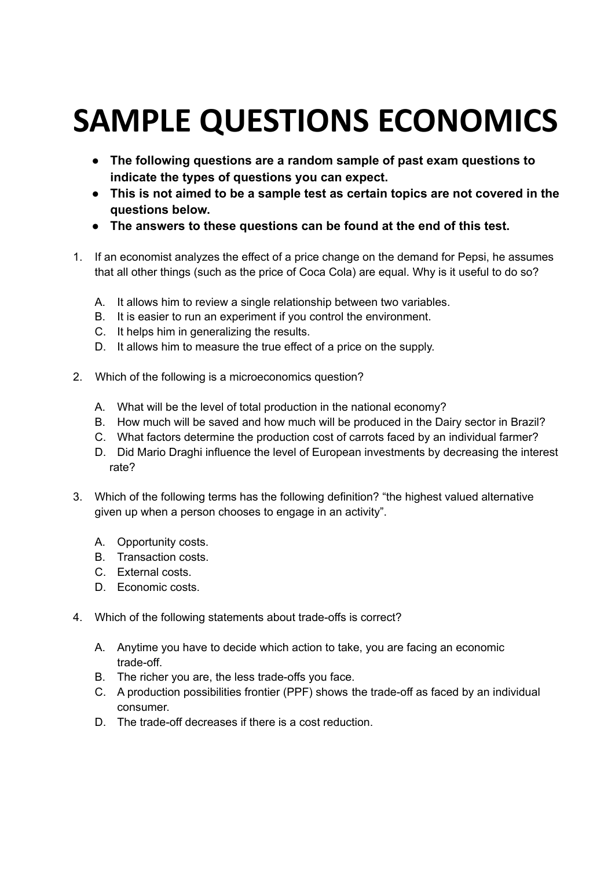## **SAMPLE QUESTIONS ECONOMICS**

- **The following questions are a random sample of past exam questions to indicate the types of questions you can expect.**
- **This is not aimed to be a sample test as certain topics are not covered in the questions below.**
- **The answers to these questions can be found at the end of this test.**
- 1. If an economist analyzes the effect of a price change on the demand for Pepsi, he assumes that all other things (such as the price of Coca Cola) are equal. Why is it useful to do so?
	- A. It allows him to review a single relationship between two variables.
	- B. It is easier to run an experiment if you control the environment.
	- C. It helps him in generalizing the results.
	- D. It allows him to measure the true effect of a price on the supply.
- 2. Which of the following is a microeconomics question?
	- A. What will be the level of total production in the national economy?
	- B. How much will be saved and how much will be produced in the Dairy sector in Brazil?
	- C. What factors determine the production cost of carrots faced by an individual farmer?
	- D. Did Mario Draghi influence the level of European investments by decreasing the interest rate?
- 3. Which of the following terms has the following definition? "the highest valued alternative given up when a person chooses to engage in an activity".
	- A. Opportunity costs.
	- B. Transaction costs.
	- C. External costs.
	- D. Economic costs.
- 4. Which of the following statements about trade-offs is correct?
	- A. Anytime you have to decide which action to take, you are facing an economic trade-off.
	- B. The richer you are, the less trade-offs you face.
	- C. A production possibilities frontier (PPF) shows the trade-off as faced by an individual consumer.
	- D. The trade-off decreases if there is a cost reduction.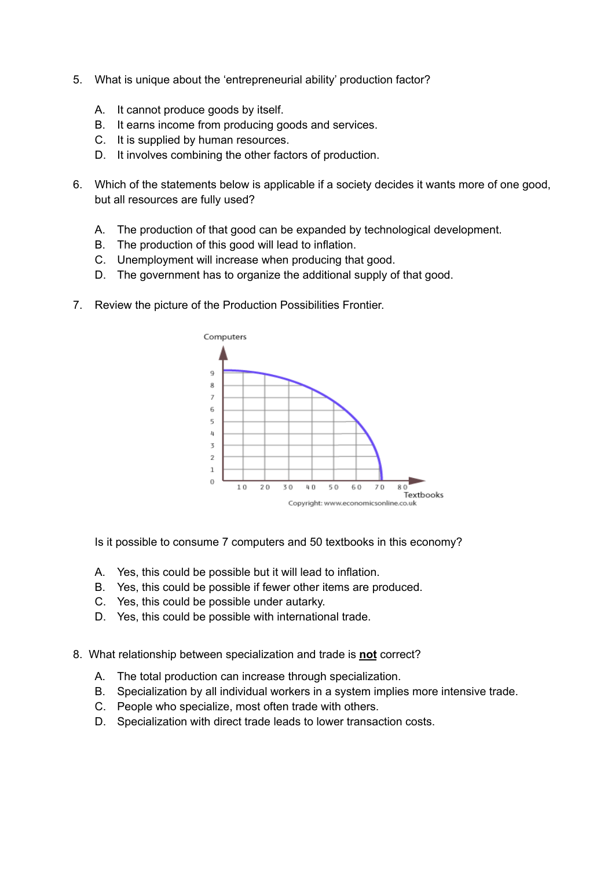- 5. What is unique about the 'entrepreneurial ability' production factor?
	- A. It cannot produce goods by itself.
	- B. It earns income from producing goods and services.
	- C. It is supplied by human resources.
	- D. It involves combining the other factors of production.
- 6. Which of the statements below is applicable if a society decides it wants more of one good, but all resources are fully used?
	- A. The production of that good can be expanded by technological development.
	- B. The production of this good will lead to inflation.
	- C. Unemployment will increase when producing that good.
	- D. The government has to organize the additional supply of that good.
- 7. Review the picture of the Production Possibilities Frontier.



Is it possible to consume 7 computers and 50 textbooks in this economy?

- A. Yes, this could be possible but it will lead to inflation.
- B. Yes, this could be possible if fewer other items are produced.
- C. Yes, this could be possible under autarky.
- D. Yes, this could be possible with international trade.
- 8. What relationship between specialization and trade is **not** correct?
	- A. The total production can increase through specialization.
	- B. Specialization by all individual workers in a system implies more intensive trade.
	- C. People who specialize, most often trade with others.
	- D. Specialization with direct trade leads to lower transaction costs.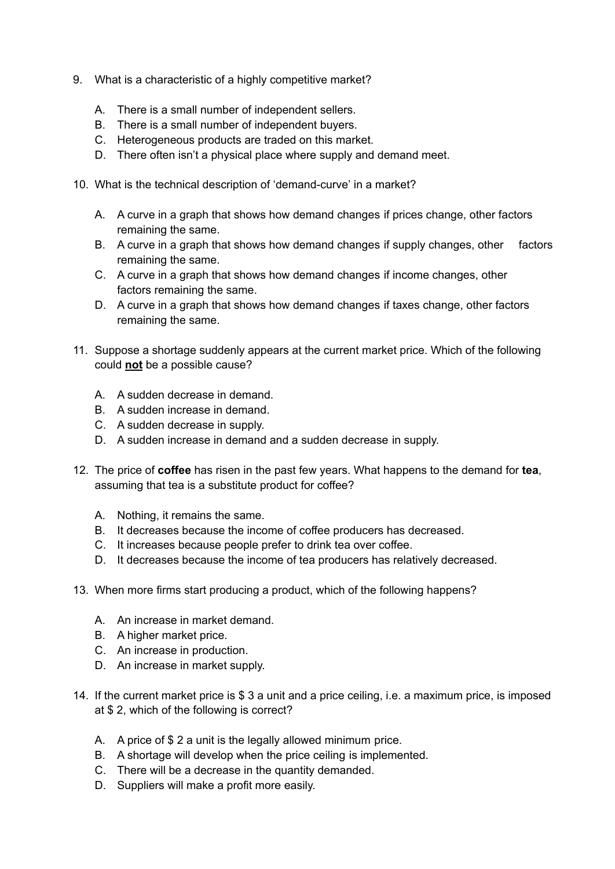- 9. What is a characteristic of a highly competitive market?
	- A. There is a small number of independent sellers.
	- B. There is a small number of independent buyers.
	- C. Heterogeneous products are traded on this market.
	- D. There often isn't a physical place where supply and demand meet.
- 10. What is the technical description of 'demand-curve' in a market?
	- A. A curve in a graph that shows how demand changes if prices change, other factors remaining the same.
	- B. A curve in a graph that shows how demand changes if supply changes, other factors remaining the same.
	- C. A curve in a graph that shows how demand changes if income changes, other factors remaining the same.
	- D. A curve in a graph that shows how demand changes if taxes change, other factors remaining the same.
- 11. Suppose a shortage suddenly appears at the current market price. Which of the following could **not** be a possible cause?
	- A. A sudden decrease in demand.
	- B. A sudden increase in demand.
	- C. A sudden decrease in supply.
	- D. A sudden increase in demand and a sudden decrease in supply.
- 12. The price of **coffee** has risen in the past few years. What happens to the demand for **tea**, assuming that tea is a substitute product for coffee?
	- A. Nothing, it remains the same.
	- B. It decreases because the income of coffee producers has decreased.
	- C. It increases because people prefer to drink tea over coffee.
	- D. It decreases because the income of tea producers has relatively decreased.
- 13. When more firms start producing a product, which of the following happens?
	- A. An increase in market demand.
	- B. A higher market price.
	- C. An increase in production.
	- D. An increase in market supply.
- 14. If the current market price is \$ 3 a unit and a price ceiling, i.e. a maximum price, is imposed at \$ 2, which of the following is correct?
	- A. A price of \$ 2 a unit is the legally allowed minimum price.
	- B. A shortage will develop when the price ceiling is implemented.
	- C. There will be a decrease in the quantity demanded.
	- D. Suppliers will make a profit more easily.